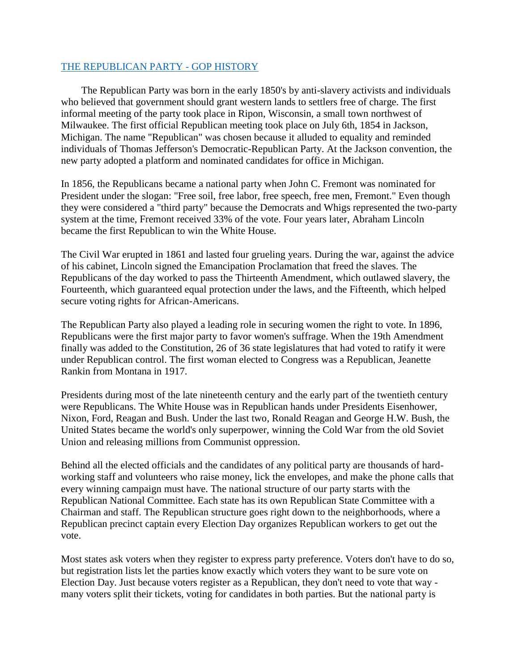## [THE REPUBLICAN PARTY -](http://nevadagop.org/history-of-the-gop/) GOP HISTORY

The Republican Party was born in the early 1850's by anti-slavery activists and individuals who believed that government should grant western lands to settlers free of charge. The first informal meeting of the party took place in Ripon, Wisconsin, a small town northwest of Milwaukee. The first official Republican meeting took place on July 6th, 1854 in Jackson, Michigan. The name "Republican" was chosen because it alluded to equality and reminded individuals of Thomas Jefferson's Democratic-Republican Party. At the Jackson convention, the new party adopted a platform and nominated candidates for office in Michigan.

In 1856, the Republicans became a national party when John C. Fremont was nominated for President under the slogan: "Free soil, free labor, free speech, free men, Fremont." Even though they were considered a "third party" because the Democrats and Whigs represented the two-party system at the time, Fremont received 33% of the vote. Four years later, Abraham Lincoln became the first Republican to win the White House.

The Civil War erupted in 1861 and lasted four grueling years. During the war, against the advice of his cabinet, Lincoln signed the Emancipation Proclamation that freed the slaves. The Republicans of the day worked to pass the Thirteenth Amendment, which outlawed slavery, the Fourteenth, which guaranteed equal protection under the laws, and the Fifteenth, which helped secure voting rights for African-Americans.

The Republican Party also played a leading role in securing women the right to vote. In 1896, Republicans were the first major party to favor women's suffrage. When the 19th Amendment finally was added to the Constitution, 26 of 36 state legislatures that had voted to ratify it were under Republican control. The first woman elected to Congress was a Republican, Jeanette Rankin from Montana in 1917.

Presidents during most of the late nineteenth century and the early part of the twentieth century were Republicans. The White House was in Republican hands under Presidents Eisenhower, Nixon, Ford, Reagan and Bush. Under the last two, Ronald Reagan and George H.W. Bush, the United States became the world's only superpower, winning the Cold War from the old Soviet Union and releasing millions from Communist oppression.

Behind all the elected officials and the candidates of any political party are thousands of hardworking staff and volunteers who raise money, lick the envelopes, and make the phone calls that every winning campaign must have. The national structure of our party starts with the Republican National Committee. Each state has its own Republican State Committee with a Chairman and staff. The Republican structure goes right down to the neighborhoods, where a Republican precinct captain every Election Day organizes Republican workers to get out the vote.

Most states ask voters when they register to express party preference. Voters don't have to do so, but registration lists let the parties know exactly which voters they want to be sure vote on Election Day. Just because voters register as a Republican, they don't need to vote that way many voters split their tickets, voting for candidates in both parties. But the national party is